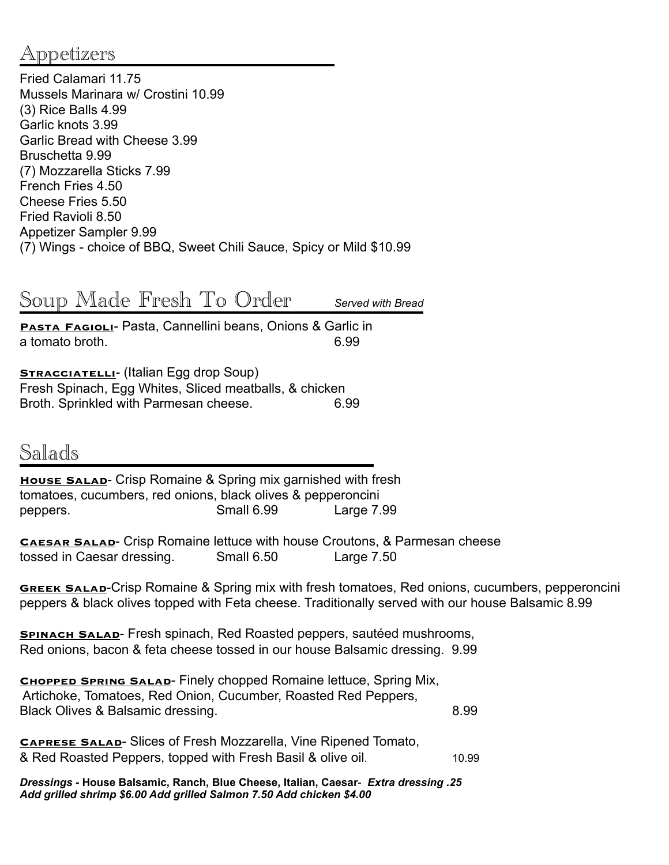# Appetizers

Fried Calamari 11.75 Mussels Marinara w/ Crostini 10.99 (3) Rice Balls 4.99 Garlic knots 3.99 Garlic Bread with Cheese 3.99 Bruschetta 9.99 (7) Mozzarella Sticks 7.99 French Fries 4.50 Cheese Fries 5.50 Fried Ravioli 8.50 Appetizer Sampler 9.99 (7) Wings - choice of BBQ, Sweet Chili Sauce, Spicy or Mild \$10.99

## Soup Made Fresh To Order *Served with Bread*

**Pasta Fagioli**- Pasta, Cannellini beans, Onions & Garlic in a tomato broth. 6.99

**STRACCIATELLI-** (Italian Egg drop Soup) Fresh Spinach, Egg Whites, Sliced meatballs, & chicken Broth. Sprinkled with Parmesan cheese. 6.99

# Salads

**HOUSE SALAD-** Crisp Romaine & Spring mix garnished with fresh tomatoes, cucumbers, red onions, black olives & pepperoncini peppers. Small 6.99 Large 7.99

**Caesar Salad**- Crisp Romaine lettuce with house Croutons, & Parmesan cheese tossed in Caesar dressing. Small 6.50 Large 7.50

**Greek Salad**-Crisp Romaine & Spring mix with fresh tomatoes, Red onions, cucumbers, pepperoncini peppers & black olives topped with Feta cheese. Traditionally served with our house Balsamic 8.99

**SPINACH SALAD-** Fresh spinach, Red Roasted peppers, sautéed mushrooms, Red onions, bacon & feta cheese tossed in our house Balsamic dressing. 9.99

**Chopped Spring Salad**- Finely chopped Romaine lettuce, Spring Mix, Artichoke, Tomatoes, Red Onion, Cucumber, Roasted Red Peppers, Black Olives & Balsamic dressing. And the state of the state of the state of the state of the state of the state of the state of the state of the state of the state of the state of the state of the state of the state of th

**CAPRESE SALAD-** Slices of Fresh Mozzarella, Vine Ripened Tomato, & Red Roasted Peppers, topped with Fresh Basil & olive oil. 10.99

*Dressings -* **House Balsamic, Ranch, Blue Cheese, Italian, Caesar**- *Extra dressing .25 Add grilled shrimp \$6.00 Add grilled Salmon 7.50 Add chicken \$4.00*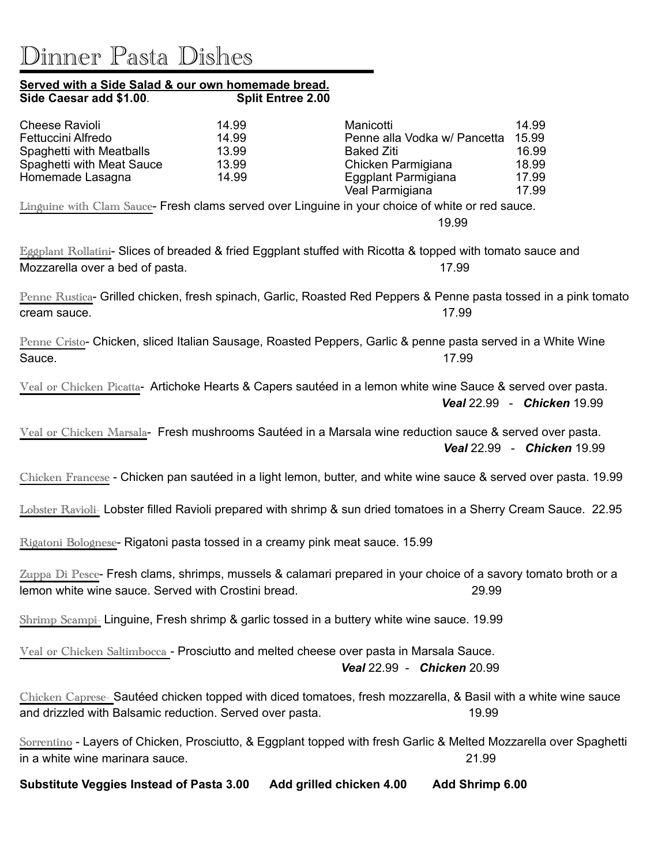## **Served with a Side Salad & our own homemade bread. Side Caesar add \$1.00***.* **Split Entree 2.00**

| <b>Cheese Ravioli</b>     | 14.99 | Manicotti                                                                                        | 14.99 |
|---------------------------|-------|--------------------------------------------------------------------------------------------------|-------|
| Fettuccini Alfredo        | 14.99 | Penne alla Vodka w/ Pancetta                                                                     | 15.99 |
| Spaghetti with Meatballs  | 13.99 | <b>Baked Ziti</b>                                                                                | 16.99 |
| Spaghetti with Meat Sauce | 13.99 | Chicken Parmigiana                                                                               | 18.99 |
| Homemade Lasagna          | 14.99 | Eggplant Parmigiana                                                                              | 17.99 |
|                           |       | Veal Parmigiana                                                                                  | 17.99 |
|                           |       | Linguine with Clam Sauce- Fresh clams served over Linguine in your choice of white or red sauce. |       |

19.99

Eggplant Rollatini- Slices of breaded & fried Eggplant stuffed with Ricotta & topped with tomato sauce and Mozzarella over a bed of pasta. 17.99

Penne Rustica- Grilled chicken, fresh spinach, Garlic, Roasted Red Peppers & Penne pasta tossed in a pink tomato cream sauce. 17.99

Penne Cristo- Chicken, sliced Italian Sausage, Roasted Peppers, Garlic & penne pasta served in a White Wine Sauce. 17.99

Veal or Chicken Picatta- Artichoke Hearts & Capers sautéed in a lemon white wine Sauce & served over pasta. *Veal* 22.99 - *Chicken* 19.99

Veal or Chicken Marsala- Fresh mushrooms Sautéed in a Marsala wine reduction sauce & served over pasta. *Veal* 22.99 - *Chicken* 19.99

Chicken Francese - Chicken pan sautéed in a light lemon, butter, and white wine sauce & served over pasta. 19.99

Lobster Ravioli- Lobster filled Ravioli prepared with shrimp & sun dried tomatoes in a Sherry Cream Sauce. 22.95

Rigatoni Bolognese- Rigatoni pasta tossed in a creamy pink meat sauce. 15.99

Zuppa Di Pesce- Fresh clams, shrimps, mussels & calamari prepared in your choice of a savory tomato broth or a lemon white wine sauce. Served with Crostini bread. 29.99

Shrimp Scampi- Linguine, Fresh shrimp & garlic tossed in a buttery white wine sauce. 19.99

Veal or Chicken Saltimbocca - Prosciutto and melted cheese over pasta in Marsala Sauce. *Veal* 22.99 - *Chicken* 20.99

Chicken Caprese- Sautéed chicken topped with diced tomatoes, fresh mozzarella, & Basil with a white wine sauce and drizzled with Balsamic reduction. Served over pasta. 19.99

Sorrentino - Layers of Chicken, Prosciutto, & Eggplant topped with fresh Garlic & Melted Mozzarella over Spaghetti in a white wine marinara sauce. 21.99

**Substitute Veggies Instead of Pasta 3.00 Add grilled chicken 4.00 Add Shrimp 6.00**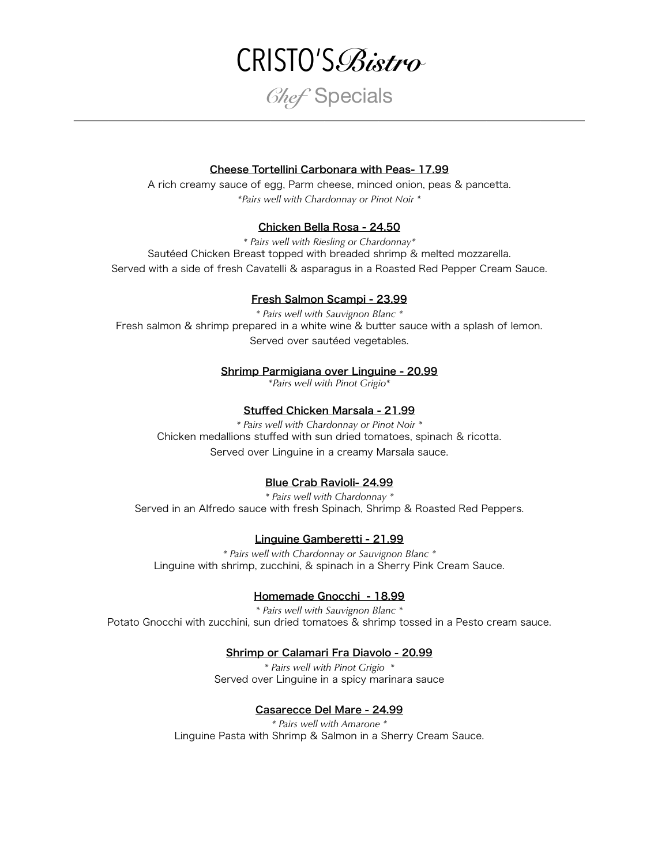

*Chef* Specials *\_\_\_\_\_\_\_\_\_\_\_\_\_\_\_\_\_\_\_\_\_\_\_\_\_\_\_\_\_\_\_\_\_\_\_\_\_\_\_\_\_\_\_\_\_\_\_\_\_\_\_\_\_\_\_\_\_\_\_\_\_\_\_\_\_\_\_\_\_\_\_\_\_\_\_\_\_\_\_\_\_\_\_\_\_\_\_\_\_\_\_\_\_\_\_\_\_\_\_\_\_\_\_\_* 

#### Cheese Tortellini Carbonara with Peas- 17.99

A rich creamy sauce of egg, Parm cheese, minced onion, peas & pancetta. *\*Pairs well with Chardonnay or Pinot Noir \**

#### Chicken Bella Rosa - 24.50

*\* Pairs well with Riesling or Chardonnay\** Sautéed Chicken Breast topped with breaded shrimp & melted mozzarella. Served with a side of fresh Cavatelli & asparagus in a Roasted Red Pepper Cream Sauce.

#### Fresh Salmon Scampi - 23.99

*\* Pairs well with Sauvignon Blanc \** Fresh salmon & shrimp prepared in a white wine & butter sauce with a splash of lemon. Served over sautéed vegetables.

Shrimp Parmigiana over Linguine - 20.99

*\*Pairs well with Pinot Grigio\**

#### Stuffed Chicken Marsala - 21.99

*\* Pairs well with Chardonnay or Pinot Noir \** Chicken medallions stuffed with sun dried tomatoes, spinach & ricotta. Served over Linguine in a creamy Marsala sauce.

#### Blue Crab Ravioli- 24.99

*\* Pairs well with Chardonnay \** Served in an Alfredo sauce with fresh Spinach, Shrimp & Roasted Red Peppers.

#### Linguine Gamberetti - 21.99

*\* Pairs well with Chardonnay or Sauvignon Blanc \** Linguine with shrimp, zucchini, & spinach in a Sherry Pink Cream Sauce.

#### Homemade Gnocchi - 18.99

*\* Pairs well with Sauvignon Blanc \** Potato Gnocchi with zucchini, sun dried tomatoes & shrimp tossed in a Pesto cream sauce.

#### Shrimp or Calamari Fra Diavolo - 20.99

*\* Pairs well with Pinot Grigio \** Served over Linguine in a spicy marinara sauce

#### Casarecce Del Mare - 24.99

*\* Pairs well with Amarone \** Linguine Pasta with Shrimp & Salmon in a Sherry Cream Sauce.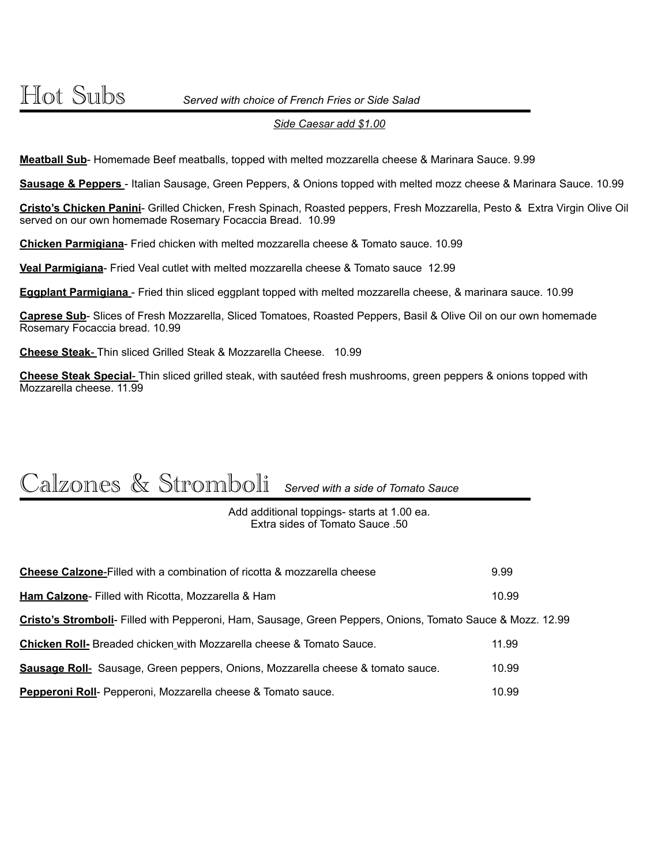Hot Subs *Served with choice of French Fries or Side Salad* 

### *Side Caesar add \$1.00*

**Meatball Sub**- Homemade Beef meatballs, topped with melted mozzarella cheese & Marinara Sauce. 9.99

**Sausage & Peppers** - Italian Sausage, Green Peppers, & Onions topped with melted mozz cheese & Marinara Sauce. 10.99

**Cristo's Chicken Panini**- Grilled Chicken, Fresh Spinach, Roasted peppers, Fresh Mozzarella, Pesto & Extra Virgin Olive Oil served on our own homemade Rosemary Focaccia Bread. 10.99

**Chicken Parmigiana**- Fried chicken with melted mozzarella cheese & Tomato sauce. 10.99

**Veal Parmigiana**- Fried Veal cutlet with melted mozzarella cheese & Tomato sauce 12.99

**Eggplant Parmigiana** - Fried thin sliced eggplant topped with melted mozzarella cheese, & marinara sauce. 10.99

**Caprese Sub**- Slices of Fresh Mozzarella, Sliced Tomatoes, Roasted Peppers, Basil & Olive Oil on our own homemade Rosemary Focaccia bread. 10.99

**Cheese Steak**- Thin sliced Grilled Steak & Mozzarella Cheese. 10.99

**Cheese Steak Special**- Thin sliced grilled steak, with sautéed fresh mushrooms, green peppers & onions topped with Mozzarella cheese. 11.99

# Calzones & Stromboli *Served with a side of Tomato Sauce*

Add additional toppings- starts at 1.00 ea. Extra sides of Tomato Sauce .50

| <b>Cheese Calzone-Filled with a combination of ricotta &amp; mozzarella cheese</b>                         | 9.99  |
|------------------------------------------------------------------------------------------------------------|-------|
| <b>Ham Calzone</b> - Filled with Ricotta, Mozzarella & Ham                                                 | 10.99 |
| Cristo's Stromboli- Filled with Pepperoni, Ham, Sausage, Green Peppers, Onions, Tomato Sauce & Mozz. 12.99 |       |
| <b>Chicken Roll-</b> Breaded chicken with Mozzarella cheese & Tomato Sauce.                                | 11.99 |
| Sausage Roll- Sausage, Green peppers, Onions, Mozzarella cheese & tomato sauce.                            | 10.99 |
| <b>Pepperoni Roll-</b> Pepperoni, Mozzarella cheese & Tomato sauce.                                        | 10.99 |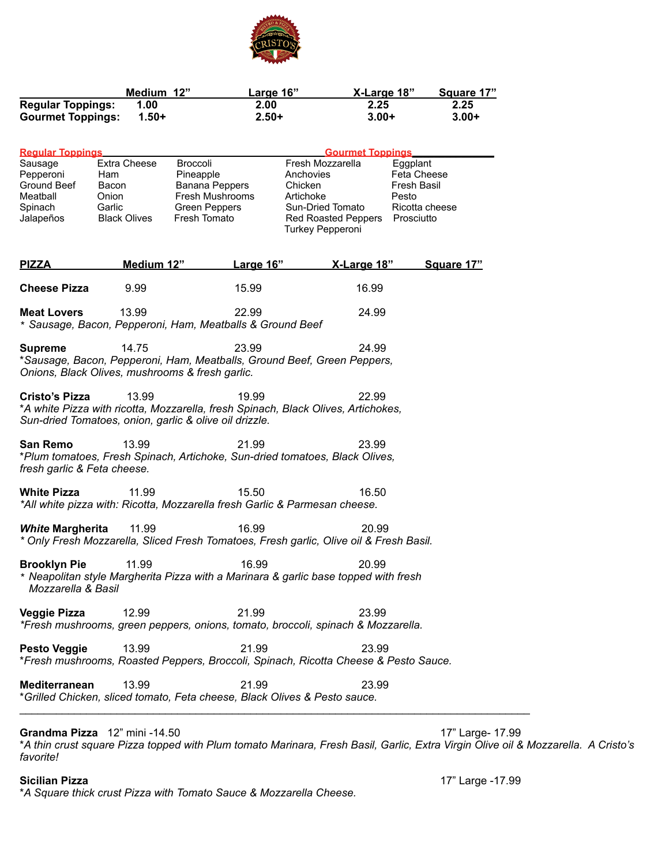

|                          | Medium 12" | Large 16" | X-Large 18" | Square 17" |
|--------------------------|------------|-----------|-------------|------------|
| <b>Regular Toppings:</b> | 1.00       | 2.00      | 2.25        | 2.25       |
| <b>Gourmet Toppings:</b> | 1.50+      | $2.50+$   | $3.00+$     | $3.00+$    |

| <b>Regular Toppings</b>                                                                |                     |                                                           | <b>Gourmet Toppings</b>                                                           |                |  |  |
|----------------------------------------------------------------------------------------|---------------------|-----------------------------------------------------------|-----------------------------------------------------------------------------------|----------------|--|--|
| Sausage                                                                                | Extra Cheese        | Broccoli                                                  | Fresh Mozzarella                                                                  | Eggplant       |  |  |
| Pepperoni                                                                              | Ham                 | Pineapple                                                 | Anchovies                                                                         | Feta Cheese    |  |  |
| Ground Beef                                                                            | Bacon               | Banana Peppers                                            | Chicken                                                                           | Fresh Basil    |  |  |
| Meatball                                                                               | Onion               | Fresh Mushrooms                                           | Artichoke                                                                         | Pesto          |  |  |
| Spinach                                                                                | Garlic              | <b>Green Peppers</b>                                      | Sun-Dried Tomato                                                                  | Ricotta cheese |  |  |
| Jalapeños                                                                              | <b>Black Olives</b> | Fresh Tomato                                              | <b>Red Roasted Peppers</b>                                                        | Prosciutto     |  |  |
|                                                                                        |                     |                                                           | Turkey Pepperoni                                                                  |                |  |  |
|                                                                                        |                     |                                                           |                                                                                   |                |  |  |
|                                                                                        |                     |                                                           |                                                                                   |                |  |  |
| <b>PIZZA</b>                                                                           | Medium 12"          | Large 16"                                                 | X-Large 18"                                                                       | Square 17"     |  |  |
| <b>Cheese Pizza</b>                                                                    | 9.99                | 15.99                                                     | 16.99                                                                             |                |  |  |
|                                                                                        |                     |                                                           |                                                                                   |                |  |  |
| <b>Meat Lovers</b>                                                                     | 13.99               | 22.99                                                     | 24.99                                                                             |                |  |  |
|                                                                                        |                     | * Sausage, Bacon, Pepperoni, Ham, Meatballs & Ground Beef |                                                                                   |                |  |  |
|                                                                                        |                     |                                                           |                                                                                   |                |  |  |
| <b>Supreme</b>                                                                         | 14.75               | 23.99                                                     | 24.99                                                                             |                |  |  |
|                                                                                        |                     |                                                           | *Sausage, Bacon, Pepperoni, Ham, Meatballs, Ground Beef, Green Peppers,           |                |  |  |
|                                                                                        |                     | Onions, Black Olives, mushrooms & fresh garlic.           |                                                                                   |                |  |  |
|                                                                                        |                     |                                                           |                                                                                   |                |  |  |
| <b>Cristo's Pizza</b>                                                                  | 13.99               | 19.99                                                     | 22.99                                                                             |                |  |  |
|                                                                                        |                     |                                                           | *A white Pizza with ricotta, Mozzarella, fresh Spinach, Black Olives, Artichokes, |                |  |  |
|                                                                                        |                     | Sun-dried Tomatoes, onion, garlic & olive oil drizzle.    |                                                                                   |                |  |  |
|                                                                                        |                     |                                                           |                                                                                   |                |  |  |
| San Remo                                                                               | 13.99               | 21.99                                                     | 23.99                                                                             |                |  |  |
|                                                                                        |                     |                                                           | *Plum tomatoes, Fresh Spinach, Artichoke, Sun-dried tomatoes, Black Olives,       |                |  |  |
| fresh garlic & Feta cheese.                                                            |                     |                                                           |                                                                                   |                |  |  |
|                                                                                        |                     |                                                           |                                                                                   |                |  |  |
|                                                                                        |                     |                                                           |                                                                                   |                |  |  |
| <b>White Pizza</b>                                                                     | 11.99               | 15.50                                                     | 16.50                                                                             |                |  |  |
|                                                                                        |                     |                                                           | *All white pizza with: Ricotta, Mozzarella fresh Garlic & Parmesan cheese.        |                |  |  |
|                                                                                        |                     |                                                           |                                                                                   |                |  |  |
| <b>White Margherita</b>                                                                | 11.99               | 16.99                                                     | 20.99                                                                             |                |  |  |
| * Only Fresh Mozzarella, Sliced Fresh Tomatoes, Fresh garlic, Olive oil & Fresh Basil. |                     |                                                           |                                                                                   |                |  |  |
|                                                                                        |                     |                                                           |                                                                                   |                |  |  |
| <b>Brooklyn Pie</b>                                                                    | 11.99               | 16.99                                                     | 20.99                                                                             |                |  |  |
| * Neapolitan style Margherita Pizza with a Marinara & garlic base topped with fresh    |                     |                                                           |                                                                                   |                |  |  |
| Mozzarella & Basil                                                                     |                     |                                                           |                                                                                   |                |  |  |
|                                                                                        |                     |                                                           |                                                                                   |                |  |  |
| <b>Veggie Pizza</b>                                                                    | 12.99               | 21.99                                                     | 23.99                                                                             |                |  |  |
|                                                                                        |                     |                                                           |                                                                                   |                |  |  |
| *Fresh mushrooms, green peppers, onions, tomato, broccoli, spinach & Mozzarella.       |                     |                                                           |                                                                                   |                |  |  |
|                                                                                        |                     | 21.99                                                     | 23.99                                                                             |                |  |  |
| <b>Pesto Veggie</b>                                                                    | 13.99               |                                                           |                                                                                   |                |  |  |
| *Fresh mushrooms, Roasted Peppers, Broccoli, Spinach, Ricotta Cheese & Pesto Sauce.    |                     |                                                           |                                                                                   |                |  |  |
|                                                                                        |                     |                                                           |                                                                                   |                |  |  |
| <b>Mediterranean</b>                                                                   | 13.99               | 21.99                                                     | 23.99                                                                             |                |  |  |
|                                                                                        |                     |                                                           | *Grilled Chicken, sliced tomato, Feta cheese, Black Olives & Pesto sauce.         |                |  |  |
|                                                                                        |                     |                                                           |                                                                                   |                |  |  |

#### **Grandma Pizza** 12" mini -14.50 17" Large- 17.99

\**A thin crust square Pizza topped with Plum tomato Marinara, Fresh Basil, Garlic, Extra Virgin Olive oil & Mozzarella. A Cristo's favorite!* 

\**A Square thick crust Pizza with Tomato Sauce & Mozzarella Cheese.*

**Sicilian Pizza** 17" Large -17.99